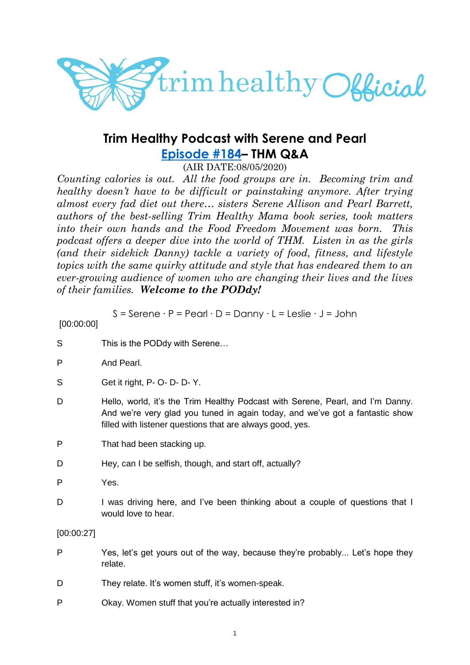

# **Trim Healthy Podcast with Serene and Pearl [Episode #184](https://cms.megaphone.fm/channel/trimhealthypodcast?selected=ADL1212749866)– THM Q&A**

(AIR DATE:08/05/2020)

*Counting calories is out. All the food groups are in. Becoming trim and healthy doesn't have to be difficult or painstaking anymore. After trying almost every fad diet out there… sisters Serene Allison and Pearl Barrett, authors of the best-selling Trim Healthy Mama book series, took matters into their own hands and the Food Freedom Movement was born. This podcast offers a deeper dive into the world of THM. Listen in as the girls (and their sidekick Danny) tackle a variety of food, fitness, and lifestyle topics with the same quirky attitude and style that has endeared them to an ever-growing audience of women who are changing their lives and the lives of their families. Welcome to the PODdy!*

S = Serene ∙ P = Pearl ∙ D = Danny ∙ L = Leslie ∙ J = John

| [00:00:00] |                                                                                                                                                                                                                             |
|------------|-----------------------------------------------------------------------------------------------------------------------------------------------------------------------------------------------------------------------------|
| S          | This is the PODdy with Serene                                                                                                                                                                                               |
| P          | And Pearl.                                                                                                                                                                                                                  |
| S          | Get it right, P- O- D- D- Y.                                                                                                                                                                                                |
| D          | Hello, world, it's the Trim Healthy Podcast with Serene, Pearl, and I'm Danny.<br>And we're very glad you tuned in again today, and we've got a fantastic show<br>filled with listener questions that are always good, yes. |
| P          | That had been stacking up.                                                                                                                                                                                                  |
| D          | Hey, can I be selfish, though, and start off, actually?                                                                                                                                                                     |
| P          | Yes.                                                                                                                                                                                                                        |
| D          | I was driving here, and I've been thinking about a couple of questions that I<br>would love to hear.                                                                                                                        |
| [00:00:27] |                                                                                                                                                                                                                             |
| P          | Yes, let's get yours out of the way, because they're probably Let's hope they<br>relate.                                                                                                                                    |
| D          | They relate. It's women stuff, it's women-speak.                                                                                                                                                                            |
| P          | Okay. Women stuff that you're actually interested in?                                                                                                                                                                       |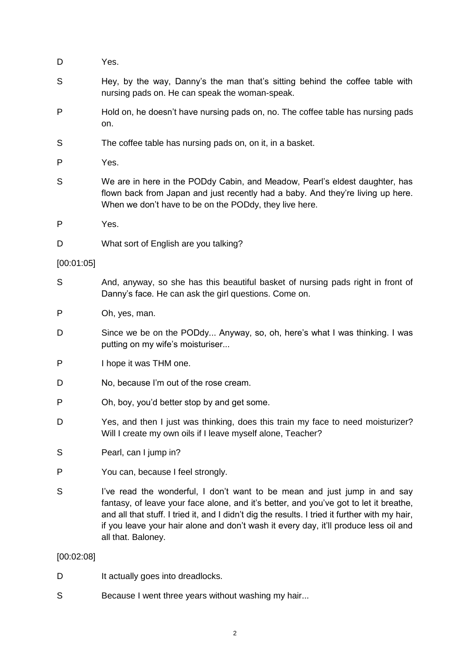- D Yes.
- S Hey, by the way, Danny's the man that's sitting behind the coffee table with nursing pads on. He can speak the woman-speak.
- P Hold on, he doesn't have nursing pads on, no. The coffee table has nursing pads on.
- S The coffee table has nursing pads on, on it, in a basket.
- P Yes.
- S We are in here in the PODdy Cabin, and Meadow, Pearl's eldest daughter, has flown back from Japan and just recently had a baby. And they're living up here. When we don't have to be on the PODdy, they live here.
- P Yes.
- D What sort of English are you talking?

#### [00:01:05]

- S And, anyway, so she has this beautiful basket of nursing pads right in front of Danny's face. He can ask the girl questions. Come on.
- P Oh, yes, man.
- D Since we be on the PODdy... Anyway, so, oh, here's what I was thinking. I was putting on my wife's moisturiser...
- P I hope it was THM one.
- D No, because I'm out of the rose cream.
- P Oh, boy, you'd better stop by and get some.
- D Yes, and then I just was thinking, does this train my face to need moisturizer? Will I create my own oils if I leave myself alone, Teacher?
- S Pearl, can I jump in?
- P You can, because I feel strongly.
- S I've read the wonderful, I don't want to be mean and just jump in and say fantasy, of leave your face alone, and it's better, and you've got to let it breathe, and all that stuff. I tried it, and I didn't dig the results. I tried it further with my hair, if you leave your hair alone and don't wash it every day, it'll produce less oil and all that. Baloney.

### [00:02:08]

- D It actually goes into dreadlocks.
- S Because I went three years without washing my hair...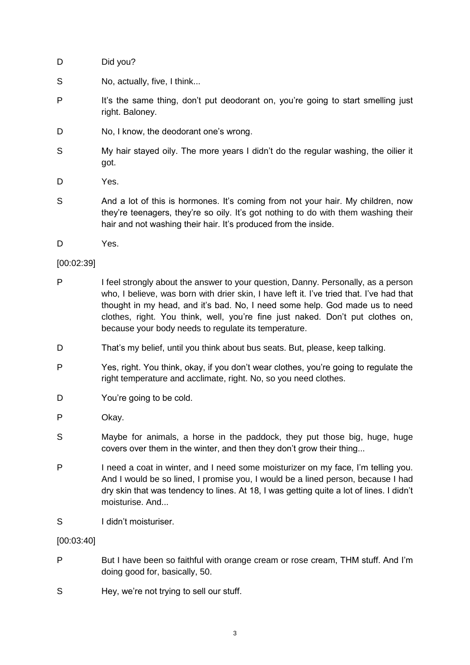- D Did you?
- S No, actually, five, I think...
- P It's the same thing, don't put deodorant on, you're going to start smelling just right. Baloney.
- D No, I know, the deodorant one's wrong.
- S My hair stayed oily. The more years I didn't do the regular washing, the oilier it got.
- D Yes.
- S And a lot of this is hormones. It's coming from not your hair. My children, now they're teenagers, they're so oily. It's got nothing to do with them washing their hair and not washing their hair. It's produced from the inside.
- D Yes.

### [00:02:39]

- P I feel strongly about the answer to your question, Danny. Personally, as a person who, I believe, was born with drier skin, I have left it. I've tried that. I've had that thought in my head, and it's bad. No, I need some help. God made us to need clothes, right. You think, well, you're fine just naked. Don't put clothes on, because your body needs to regulate its temperature.
- D That's my belief, until you think about bus seats. But, please, keep talking.
- P Yes, right. You think, okay, if you don't wear clothes, you're going to regulate the right temperature and acclimate, right. No, so you need clothes.
- D You're going to be cold.
- P Okay.
- S Maybe for animals, a horse in the paddock, they put those big, huge, huge covers over them in the winter, and then they don't grow their thing...
- P I need a coat in winter, and I need some moisturizer on my face, I'm telling you. And I would be so lined, I promise you, I would be a lined person, because I had dry skin that was tendency to lines. At 18, I was getting quite a lot of lines. I didn't moisturise. And...
- S I didn't moisturiser.

[00:03:40]

- P But I have been so faithful with orange cream or rose cream, THM stuff. And I'm doing good for, basically, 50.
- S Hey, we're not trying to sell our stuff.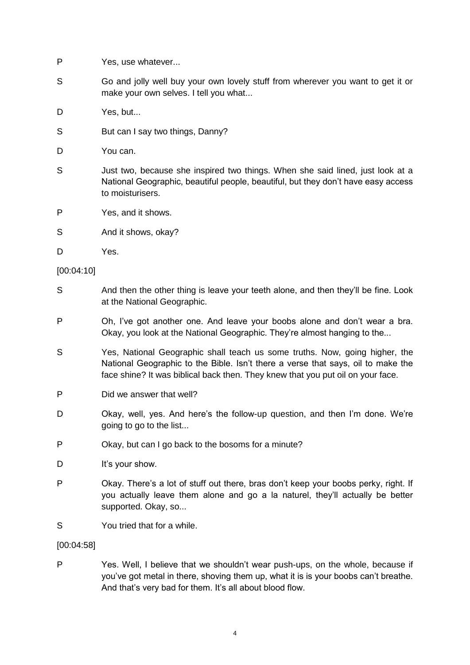- P Yes, use whatever...
- S Go and jolly well buy your own lovely stuff from wherever you want to get it or make your own selves. I tell you what...
- D Yes, but...
- S But can I say two things, Danny?
- D You can.
- S Just two, because she inspired two things. When she said lined, just look at a National Geographic, beautiful people, beautiful, but they don't have easy access to moisturisers.
- P Yes, and it shows.
- S And it shows, okay?
- D Yes.

#### [00:04:10]

- S And then the other thing is leave your teeth alone, and then they'll be fine. Look at the National Geographic.
- P Oh, I've got another one. And leave your boobs alone and don't wear a bra. Okay, you look at the National Geographic. They're almost hanging to the...
- S Yes, National Geographic shall teach us some truths. Now, going higher, the National Geographic to the Bible. Isn't there a verse that says, oil to make the face shine? It was biblical back then. They knew that you put oil on your face.
- P Did we answer that well?
- D Okay, well, yes. And here's the follow-up question, and then I'm done. We're aoing to go to the list...
- P Okay, but can I go back to the bosoms for a minute?
- D It's your show.
- P Okay. There's a lot of stuff out there, bras don't keep your boobs perky, right. If you actually leave them alone and go a la naturel, they'll actually be better supported. Okay, so...
- S You tried that for a while.

#### [00:04:58]

P Yes. Well, I believe that we shouldn't wear push-ups, on the whole, because if you've got metal in there, shoving them up, what it is is your boobs can't breathe. And that's very bad for them. It's all about blood flow.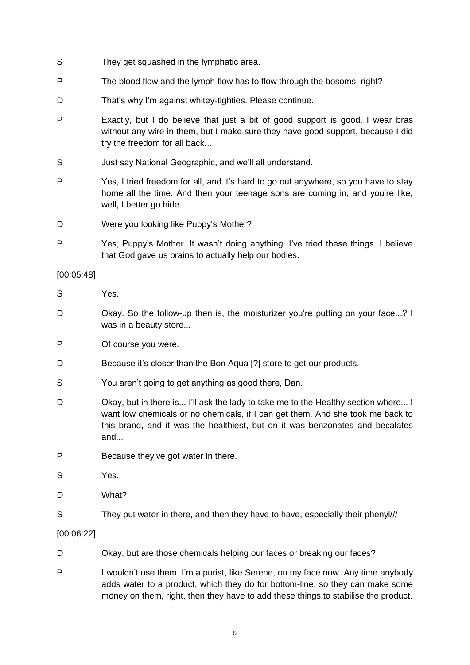- S They get squashed in the lymphatic area.
- P The blood flow and the lymph flow has to flow through the bosoms, right?
- D That's why I'm against whitey-tighties. Please continue.
- P Exactly, but I do believe that just a bit of good support is good. I wear bras without any wire in them, but I make sure they have good support, because I did try the freedom for all back...
- S Just say National Geographic, and we'll all understand.
- P Yes, I tried freedom for all, and it's hard to go out anywhere, so you have to stay home all the time. And then your teenage sons are coming in, and you're like, well, I better go hide.
- D Were you looking like Puppy's Mother?
- P Yes, Puppy's Mother. It wasn't doing anything. I've tried these things. I believe that God gave us brains to actually help our bodies.

### [00:05:48]

- S Yes.
- D Okay. So the follow-up then is, the moisturizer you're putting on your face...? I was in a beauty store...
- P Of course you were.
- D Because it's closer than the Bon Aqua [?] store to get our products.
- S You aren't going to get anything as good there, Dan.
- D Okay, but in there is... I'll ask the lady to take me to the Healthy section where... I want low chemicals or no chemicals, if I can get them. And she took me back to this brand, and it was the healthiest, but on it was benzonates and becalates and...
- P Because they've got water in there.
- S Yes.
- D What?
- S They put water in there, and then they have to have, especially their phenyl///

### [00:06:22]

- D Okay, but are those chemicals helping our faces or breaking our faces?
- P I wouldn't use them. I'm a purist, like Serene, on my face now. Any time anybody adds water to a product, which they do for bottom-line, so they can make some money on them, right, then they have to add these things to stabilise the product.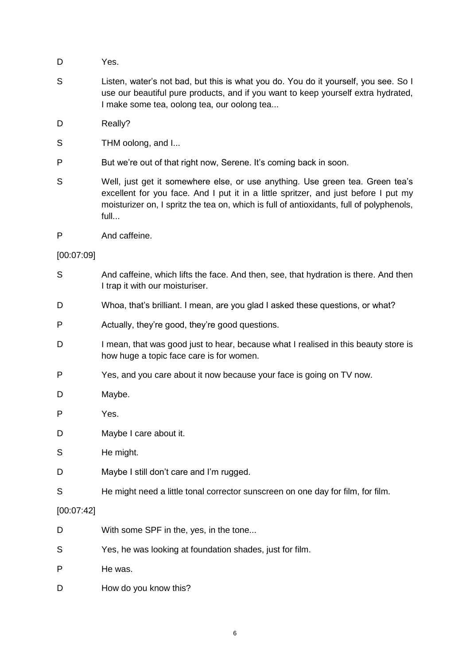- D Yes.
- S Listen, water's not bad, but this is what you do. You do it yourself, you see. So I use our beautiful pure products, and if you want to keep yourself extra hydrated, I make some tea, oolong tea, our oolong tea...
- D Really?
- S THM oolong, and I...
- P But we're out of that right now, Serene. It's coming back in soon.
- S Well, just get it somewhere else, or use anything. Use green tea. Green tea's excellent for you face. And I put it in a little spritzer, and just before I put my moisturizer on, I spritz the tea on, which is full of antioxidants, full of polyphenols, full...
- P And caffeine.

### [00:07:09]

- S And caffeine, which lifts the face. And then, see, that hydration is there. And then I trap it with our moisturiser.
- D Whoa, that's brilliant. I mean, are you glad I asked these questions, or what?
- P Actually, they're good, they're good questions.
- D I mean, that was good just to hear, because what I realised in this beauty store is how huge a topic face care is for women.
- P Yes, and you care about it now because your face is going on TV now.
- D Maybe.
- P Yes.
- D Maybe I care about it.
- S He might.
- D Maybe I still don't care and I'm rugged.
- S He might need a little tonal corrector sunscreen on one day for film, for film.

### [00:07:42]

- D With some SPF in the, yes, in the tone...
- S Yes, he was looking at foundation shades, just for film.
- P He was.
- D How do you know this?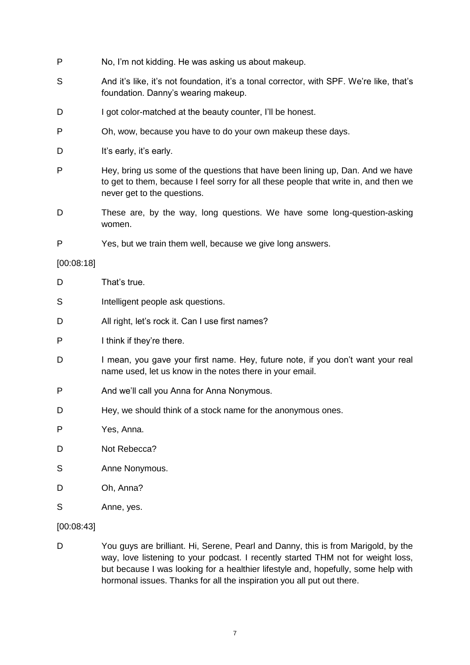- P No, I'm not kidding. He was asking us about makeup.
- S And it's like, it's not foundation, it's a tonal corrector, with SPF. We're like, that's foundation. Danny's wearing makeup.
- D I got color-matched at the beauty counter, I'll be honest.
- P Oh, wow, because you have to do your own makeup these days.
- D It's early, it's early.
- P Hey, bring us some of the questions that have been lining up, Dan. And we have to get to them, because I feel sorry for all these people that write in, and then we never get to the questions.
- D These are, by the way, long questions. We have some long-question-asking women.
- P Yes, but we train them well, because we give long answers.

### [00:08:18]

- D That's true.
- S Intelligent people ask questions.
- D All right, let's rock it. Can I use first names?
- P I think if they're there.
- D I mean, you gave your first name. Hey, future note, if you don't want your real name used, let us know in the notes there in your email.
- P And we'll call you Anna for Anna Nonymous.
- D Hey, we should think of a stock name for the anonymous ones.
- P Yes, Anna.
- D Not Rebecca?
- S Anne Nonymous.
- D Oh, Anna?
- S Anne, yes.

### [00:08:43]

D You guys are brilliant. Hi, Serene, Pearl and Danny, this is from Marigold, by the way, love listening to your podcast. I recently started THM not for weight loss, but because I was looking for a healthier lifestyle and, hopefully, some help with hormonal issues. Thanks for all the inspiration you all put out there.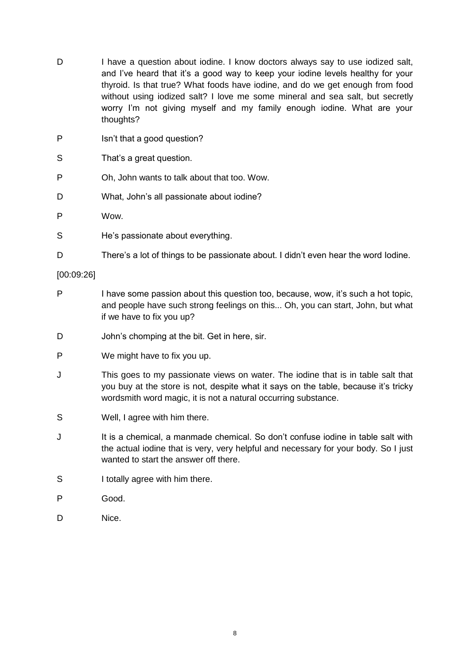- D I have a question about iodine. I know doctors always say to use iodized salt, and I've heard that it's a good way to keep your iodine levels healthy for your thyroid. Is that true? What foods have iodine, and do we get enough from food without using iodized salt? I love me some mineral and sea salt, but secretly worry I'm not giving myself and my family enough iodine. What are your thoughts?
- P Isn't that a good question?
- S That's a great question.
- P Oh, John wants to talk about that too. Wow.
- D What, John's all passionate about iodine?
- P Wow.
- S He's passionate about everything.
- D There's a lot of things to be passionate about. I didn't even hear the word Iodine.

#### [00:09:26]

- P I have some passion about this question too, because, wow, it's such a hot topic, and people have such strong feelings on this... Oh, you can start, John, but what if we have to fix you up?
- D John's chomping at the bit. Get in here, sir.
- P We might have to fix you up.
- J This goes to my passionate views on water. The iodine that is in table salt that you buy at the store is not, despite what it says on the table, because it's tricky wordsmith word magic, it is not a natural occurring substance.
- S Well, I agree with him there.
- J It is a chemical, a manmade chemical. So don't confuse iodine in table salt with the actual iodine that is very, very helpful and necessary for your body. So I just wanted to start the answer off there.
- S I totally agree with him there.
- P Good.
- D Nice.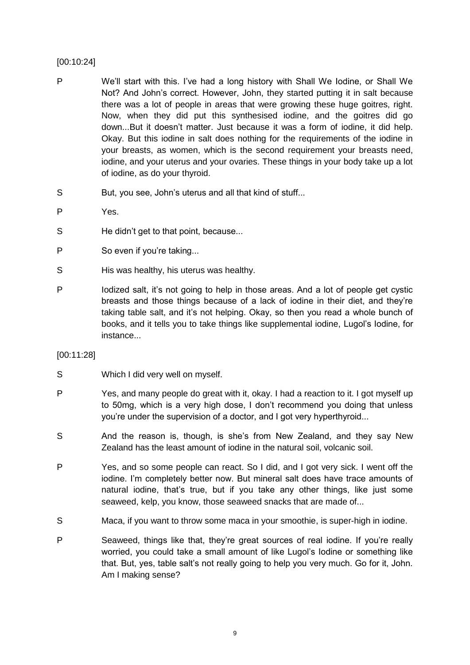### [00:10:24]

- P We'll start with this. I've had a long history with Shall We Iodine, or Shall We Not? And John's correct. However, John, they started putting it in salt because there was a lot of people in areas that were growing these huge goitres, right. Now, when they did put this synthesised iodine, and the goitres did go down...But it doesn't matter. Just because it was a form of iodine, it did help. Okay. But this iodine in salt does nothing for the requirements of the iodine in your breasts, as women, which is the second requirement your breasts need, iodine, and your uterus and your ovaries. These things in your body take up a lot of iodine, as do your thyroid.
- S But, you see, John's uterus and all that kind of stuff...
- P Yes.
- S He didn't get to that point, because...
- P So even if you're taking...
- S His was healthy, his uterus was healthy.
- P Iodized salt, it's not going to help in those areas. And a lot of people get cystic breasts and those things because of a lack of iodine in their diet, and they're taking table salt, and it's not helping. Okay, so then you read a whole bunch of books, and it tells you to take things like supplemental iodine, Lugol's Iodine, for instance...

### [00:11:28]

- S Which I did very well on myself.
- P Yes, and many people do great with it, okay. I had a reaction to it. I got myself up to 50mg, which is a very high dose, I don't recommend you doing that unless you're under the supervision of a doctor, and I got very hyperthyroid...
- S And the reason is, though, is she's from New Zealand, and they say New Zealand has the least amount of iodine in the natural soil, volcanic soil.
- P Yes, and so some people can react. So I did, and I got very sick. I went off the iodine. I'm completely better now. But mineral salt does have trace amounts of natural iodine, that's true, but if you take any other things, like just some seaweed, kelp, you know, those seaweed snacks that are made of...
- S Maca, if you want to throw some maca in your smoothie, is super-high in iodine.
- P Seaweed, things like that, they're great sources of real iodine. If you're really worried, you could take a small amount of like Lugol's Iodine or something like that. But, yes, table salt's not really going to help you very much. Go for it, John. Am I making sense?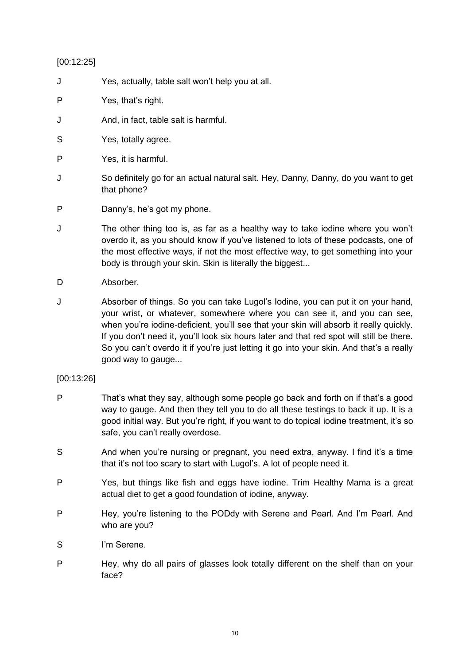### [00:12:25]

- J Yes, actually, table salt won't help you at all.
- P Yes, that's right.
- J And, in fact, table salt is harmful.
- S Yes, totally agree.
- P Yes, it is harmful.
- J So definitely go for an actual natural salt. Hey, Danny, Danny, do you want to get that phone?
- P Danny's, he's got my phone.
- J The other thing too is, as far as a healthy way to take iodine where you won't overdo it, as you should know if you've listened to lots of these podcasts, one of the most effective ways, if not the most effective way, to get something into your body is through your skin. Skin is literally the biggest...
- D Absorber.
- J Absorber of things. So you can take Lugol's Iodine, you can put it on your hand, your wrist, or whatever, somewhere where you can see it, and you can see, when you're iodine-deficient, you'll see that your skin will absorb it really quickly. If you don't need it, you'll look six hours later and that red spot will still be there. So you can't overdo it if you're just letting it go into your skin. And that's a really good way to gauge...

### [00:13:26]

- P That's what they say, although some people go back and forth on if that's a good way to gauge. And then they tell you to do all these testings to back it up. It is a good initial way. But you're right, if you want to do topical iodine treatment, it's so safe, you can't really overdose.
- S And when you're nursing or pregnant, you need extra, anyway. I find it's a time that it's not too scary to start with Lugol's. A lot of people need it.
- P Yes, but things like fish and eggs have iodine. Trim Healthy Mama is a great actual diet to get a good foundation of iodine, anyway.
- P Hey, you're listening to the PODdy with Serene and Pearl. And I'm Pearl. And who are you?
- S I'm Serene.
- P Hey, why do all pairs of glasses look totally different on the shelf than on your face?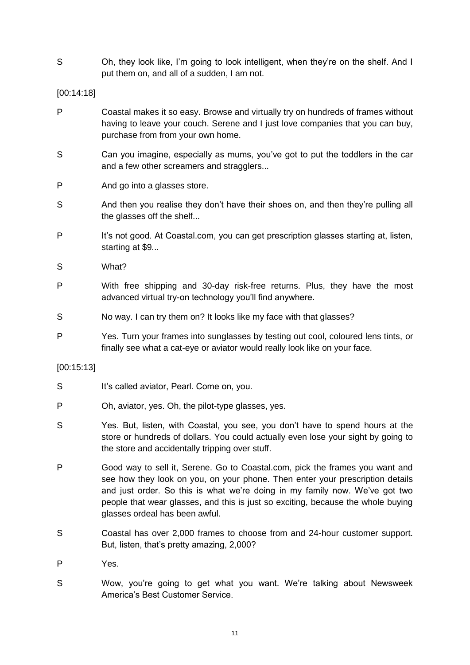S Oh, they look like, I'm going to look intelligent, when they're on the shelf. And I put them on, and all of a sudden, I am not.

[00:14:18]

- P Coastal makes it so easy. Browse and virtually try on hundreds of frames without having to leave your couch. Serene and I just love companies that you can buy, purchase from from your own home.
- S Can you imagine, especially as mums, you've got to put the toddlers in the car and a few other screamers and stragglers...
- P And go into a glasses store.
- S And then you realise they don't have their shoes on, and then they're pulling all the glasses off the shelf...
- P It's not good. At Coastal.com, you can get prescription glasses starting at, listen, starting at \$9...
- S What?
- P With free shipping and 30-day risk-free returns. Plus, they have the most advanced virtual try-on technology you'll find anywhere.
- S No way. I can try them on? It looks like my face with that glasses?
- P Yes. Turn your frames into sunglasses by testing out cool, coloured lens tints, or finally see what a cat-eye or aviator would really look like on your face.

### [00:15:13]

- S It's called aviator, Pearl. Come on, you.
- P Oh, aviator, yes. Oh, the pilot-type glasses, yes.
- S Yes. But, listen, with Coastal, you see, you don't have to spend hours at the store or hundreds of dollars. You could actually even lose your sight by going to the store and accidentally tripping over stuff.
- P Good way to sell it, Serene. Go to Coastal.com, pick the frames you want and see how they look on you, on your phone. Then enter your prescription details and just order. So this is what we're doing in my family now. We've got two people that wear glasses, and this is just so exciting, because the whole buying glasses ordeal has been awful.
- S Coastal has over 2,000 frames to choose from and 24-hour customer support. But, listen, that's pretty amazing, 2,000?
- P Yes.
- S Wow, you're going to get what you want. We're talking about Newsweek America's Best Customer Service.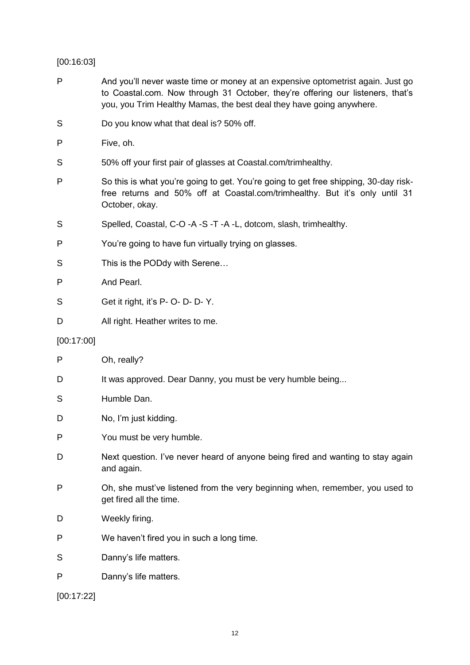### [00:16:03]

- P And you'll never waste time or money at an expensive optometrist again. Just go to Coastal.com. Now through 31 October, they're offering our listeners, that's you, you Trim Healthy Mamas, the best deal they have going anywhere.
- S Do you know what that deal is? 50% off.
- P Five, oh.
- S 50% off your first pair of glasses at Coastal.com/trimhealthy.
- P So this is what you're going to get. You're going to get free shipping, 30-day riskfree returns and 50% off at Coastal.com/trimhealthy. But it's only until 31 October, okay.
- S Spelled, Coastal, C-O -A -S -T -A -L, dotcom, slash, trimhealthy.
- P You're going to have fun virtually trying on glasses.
- S This is the PODdy with Serene...
- P And Pearl.
- S Get it right, it's P- O- D- D- Y.
- D All right. Heather writes to me.

### [00:17:00]

| P          | Oh, really?                                                                                             |
|------------|---------------------------------------------------------------------------------------------------------|
| D          | It was approved. Dear Danny, you must be very humble being                                              |
| S          | Humble Dan.                                                                                             |
| D          | No, I'm just kidding.                                                                                   |
| P          | You must be very humble.                                                                                |
| D          | Next question. I've never heard of anyone being fired and wanting to stay again<br>and again.           |
| P          | Oh, she must've listened from the very beginning when, remember, you used to<br>get fired all the time. |
| D          | Weekly firing.                                                                                          |
| P          | We haven't fired you in such a long time.                                                               |
| S          | Danny's life matters.                                                                                   |
| P          | Danny's life matters.                                                                                   |
| [00:17:22] |                                                                                                         |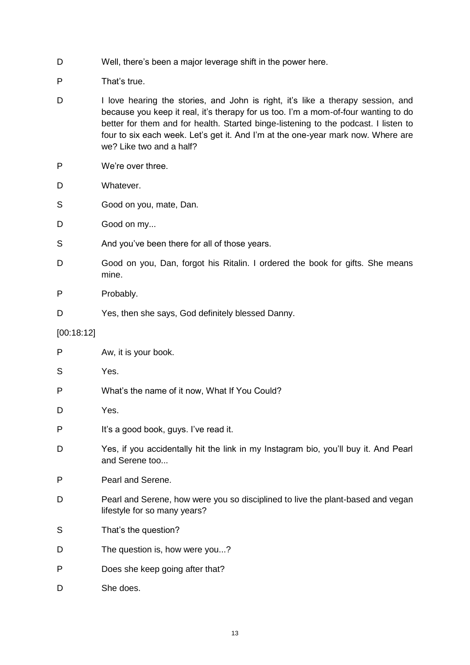- D Well, there's been a major leverage shift in the power here.
- P That's true.
- D I love hearing the stories, and John is right, it's like a therapy session, and because you keep it real, it's therapy for us too. I'm a mom-of-four wanting to do better for them and for health. Started binge-listening to the podcast. I listen to four to six each week. Let's get it. And I'm at the one-year mark now. Where are we? Like two and a half?
- P We're over three.
- D Whatever.
- S Good on you, mate, Dan.
- D Good on my...
- S And you've been there for all of those years.
- D Good on you, Dan, forgot his Ritalin. I ordered the book for gifts. She means mine.
- P Probably.
- D Yes, then she says, God definitely blessed Danny.
- [00:18:12]

| P | Aw, it is your book.                                                                                            |
|---|-----------------------------------------------------------------------------------------------------------------|
| S | Yes.                                                                                                            |
| P | What's the name of it now, What If You Could?                                                                   |
| D | Yes.                                                                                                            |
| P | It's a good book, guys. I've read it.                                                                           |
| D | Yes, if you accidentally hit the link in my Instagram bio, you'll buy it. And Pearl<br>and Serene too           |
| P | Pearl and Serene.                                                                                               |
| D | Pearl and Serene, how were you so disciplined to live the plant-based and vegan<br>lifestyle for so many years? |
| S | That's the question?                                                                                            |
| D | The question is, how were you?                                                                                  |
| P | Does she keep going after that?                                                                                 |
| D | She does.                                                                                                       |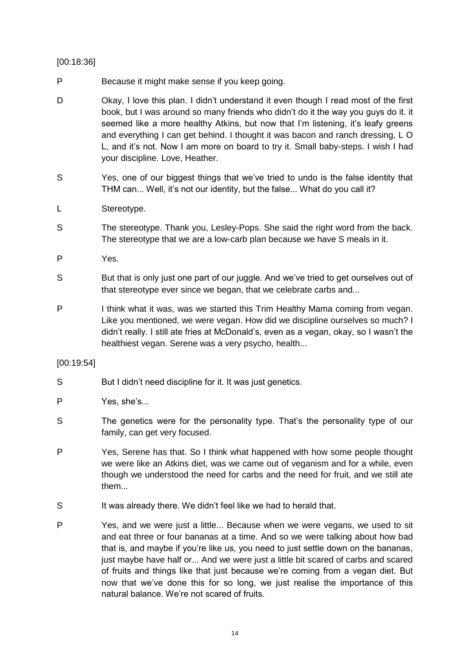### [00:18:36]

- P Because it might make sense if you keep going.
- D Okay, I love this plan. I didn't understand it even though I read most of the first book, but I was around so many friends who didn't do it the way you guys do it. it seemed like a more healthy Atkins, but now that I'm listening, it's leafy greens and everything I can get behind. I thought it was bacon and ranch dressing, L O L, and it's not. Now I am more on board to try it. Small baby-steps. I wish I had your discipline. Love, Heather.
- S Yes, one of our biggest things that we've tried to undo is the false identity that THM can... Well, it's not our identity, but the false... What do you call it?
- L Stereotype.
- S The stereotype. Thank you, Lesley-Pops. She said the right word from the back. The stereotype that we are a low-carb plan because we have S meals in it.
- P Yes.
- S But that is only just one part of our juggle. And we've tried to get ourselves out of that stereotype ever since we began, that we celebrate carbs and...
- P I think what it was, was we started this Trim Healthy Mama coming from vegan. Like you mentioned, we were vegan. How did we discipline ourselves so much? I didn't really. I still ate fries at McDonald's, even as a vegan, okay, so I wasn't the healthiest vegan. Serene was a very psycho, health...

### [00:19:54]

- S But I didn't need discipline for it. It was just genetics.
- P Yes, she's...
- S The genetics were for the personality type. That's the personality type of our family, can get very focused.
- P Yes, Serene has that. So I think what happened with how some people thought we were like an Atkins diet, was we came out of veganism and for a while, even though we understood the need for carbs and the need for fruit, and we still ate them...
- S It was already there. We didn't feel like we had to herald that.
- P Yes, and we were just a little... Because when we were vegans, we used to sit and eat three or four bananas at a time. And so we were talking about how bad that is, and maybe if you're like us, you need to just settle down on the bananas, just maybe have half or... And we were just a little bit scared of carbs and scared of fruits and things like that just because we're coming from a vegan diet. But now that we've done this for so long, we just realise the importance of this natural balance. We're not scared of fruits.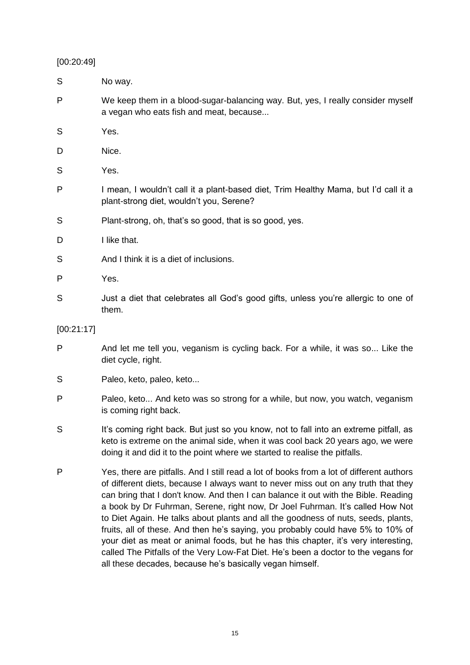### [00:20:49]

| S          | No way.                                                                                                                                                                                                                                                                                                                                                                                                                                    |
|------------|--------------------------------------------------------------------------------------------------------------------------------------------------------------------------------------------------------------------------------------------------------------------------------------------------------------------------------------------------------------------------------------------------------------------------------------------|
| P          | We keep them in a blood-sugar-balancing way. But, yes, I really consider myself<br>a vegan who eats fish and meat, because                                                                                                                                                                                                                                                                                                                 |
| S          | Yes.                                                                                                                                                                                                                                                                                                                                                                                                                                       |
| D          | Nice.                                                                                                                                                                                                                                                                                                                                                                                                                                      |
| S          | Yes.                                                                                                                                                                                                                                                                                                                                                                                                                                       |
| P          | I mean, I wouldn't call it a plant-based diet, Trim Healthy Mama, but I'd call it a<br>plant-strong diet, wouldn't you, Serene?                                                                                                                                                                                                                                                                                                            |
| S          | Plant-strong, oh, that's so good, that is so good, yes.                                                                                                                                                                                                                                                                                                                                                                                    |
| D          | I like that.                                                                                                                                                                                                                                                                                                                                                                                                                               |
| S          | And I think it is a diet of inclusions.                                                                                                                                                                                                                                                                                                                                                                                                    |
| P          | Yes.                                                                                                                                                                                                                                                                                                                                                                                                                                       |
| S          | Just a diet that celebrates all God's good gifts, unless you're allergic to one of<br>them.                                                                                                                                                                                                                                                                                                                                                |
| [00:21:17] |                                                                                                                                                                                                                                                                                                                                                                                                                                            |
| P          | And let me tell you, veganism is cycling back. For a while, it was so Like the<br>diet cycle, right.                                                                                                                                                                                                                                                                                                                                       |
| S          | Paleo, keto, paleo, keto                                                                                                                                                                                                                                                                                                                                                                                                                   |
| P          | Paleo, keto And keto was so strong for a while, but now, you watch, veganism<br>is coming right back.                                                                                                                                                                                                                                                                                                                                      |
| S          | It's coming right back. But just so you know, not to fall into an extreme pitfall, as<br>keto is extreme on the animal side, when it was cool back 20 years ago, we were<br>doing it and did it to the point where we started to realise the pitfalls.                                                                                                                                                                                     |
| P          | Yes, there are pitfalls. And I still read a lot of books from a lot of different authors<br>of different diets, because I always want to never miss out on any truth that they<br>can bring that I don't know. And then I can balance it out with the Bible. Reading<br>a book by Dr Fuhrman, Serene, right now, Dr Joel Fuhrman. It's called How Not<br>to Diet Again. He talks about plants and all the goodness of nuts, seeds, plants, |

fruits, all of these. And then he's saying, you probably could have 5% to 10% of your diet as meat or animal foods, but he has this chapter, it's very interesting, called The Pitfalls of the Very Low-Fat Diet. He's been a doctor to the vegans for all these decades, because he's basically vegan himself.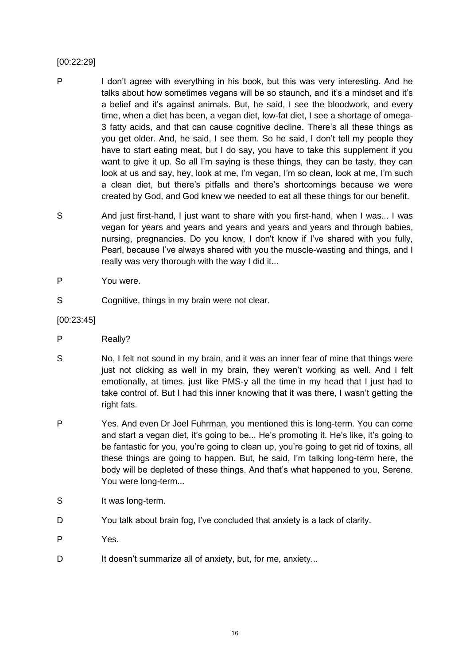### [00:22:29]

- P I don't agree with everything in his book, but this was very interesting. And he talks about how sometimes vegans will be so staunch, and it's a mindset and it's a belief and it's against animals. But, he said, I see the bloodwork, and every time, when a diet has been, a vegan diet, low-fat diet, I see a shortage of omega-3 fatty acids, and that can cause cognitive decline. There's all these things as you get older. And, he said, I see them. So he said, I don't tell my people they have to start eating meat, but I do say, you have to take this supplement if you want to give it up. So all I'm saying is these things, they can be tasty, they can look at us and say, hey, look at me, I'm vegan, I'm so clean, look at me, I'm such a clean diet, but there's pitfalls and there's shortcomings because we were created by God, and God knew we needed to eat all these things for our benefit.
- S And just first-hand, I just want to share with you first-hand, when I was... I was vegan for years and years and years and years and years and through babies, nursing, pregnancies. Do you know, I don't know if I've shared with you fully, Pearl, because I've always shared with you the muscle-wasting and things, and I really was very thorough with the way I did it...
- P You were.
- S Cognitive, things in my brain were not clear.
- [00:23:45]
- P Really?
- S No, I felt not sound in my brain, and it was an inner fear of mine that things were just not clicking as well in my brain, they weren't working as well. And I felt emotionally, at times, just like PMS-y all the time in my head that I just had to take control of. But I had this inner knowing that it was there, I wasn't getting the right fats.
- P Yes. And even Dr Joel Fuhrman, you mentioned this is long-term. You can come and start a vegan diet, it's going to be... He's promoting it. He's like, it's going to be fantastic for you, you're going to clean up, you're going to get rid of toxins, all these things are going to happen. But, he said, I'm talking long-term here, the body will be depleted of these things. And that's what happened to you, Serene. You were long-term...
- S It was long-term.
- D You talk about brain fog, I've concluded that anxiety is a lack of clarity.
- P Yes.
- D It doesn't summarize all of anxiety, but, for me, anxiety...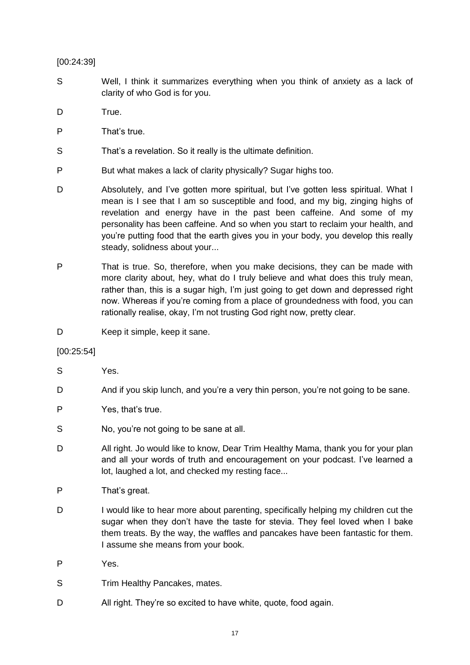### [00:24:39]

- S Well, I think it summarizes everything when you think of anxiety as a lack of clarity of who God is for you.
- D True.
- P That's true.
- S That's a revelation. So it really is the ultimate definition.
- P But what makes a lack of clarity physically? Sugar highs too.
- D Absolutely, and I've gotten more spiritual, but I've gotten less spiritual. What I mean is I see that I am so susceptible and food, and my big, zinging highs of revelation and energy have in the past been caffeine. And some of my personality has been caffeine. And so when you start to reclaim your health, and you're putting food that the earth gives you in your body, you develop this really steady, solidness about your...
- P That is true. So, therefore, when you make decisions, they can be made with more clarity about, hey, what do I truly believe and what does this truly mean, rather than, this is a sugar high, I'm just going to get down and depressed right now. Whereas if you're coming from a place of groundedness with food, you can rationally realise, okay, I'm not trusting God right now, pretty clear.
- D Keep it simple, keep it sane.

### [00:25:54]

- S Yes.
- D And if you skip lunch, and you're a very thin person, you're not going to be sane.
- P Yes, that's true.
- S No, you're not going to be sane at all.
- D All right. Jo would like to know, Dear Trim Healthy Mama, thank you for your plan and all your words of truth and encouragement on your podcast. I've learned a lot, laughed a lot, and checked my resting face...
- P That's great.
- D I would like to hear more about parenting, specifically helping my children cut the sugar when they don't have the taste for stevia. They feel loved when I bake them treats. By the way, the waffles and pancakes have been fantastic for them. I assume she means from your book.
- P Yes.
- S Trim Healthy Pancakes, mates.
- D All right. They're so excited to have white, quote, food again.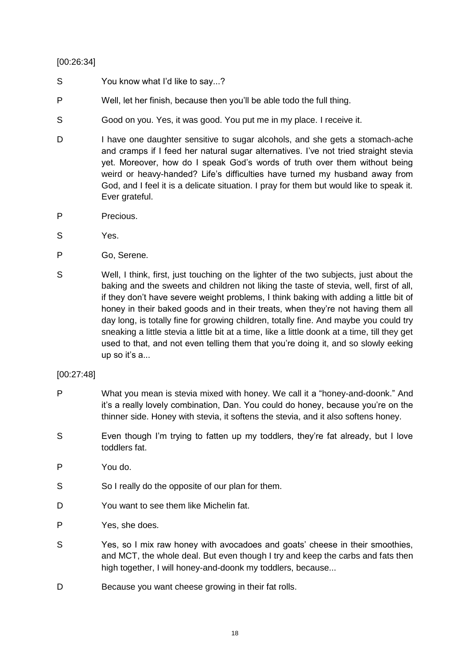### [00:26:34]

- S You know what I'd like to say...?
- P Well, let her finish, because then you'll be able todo the full thing.
- S Good on you. Yes, it was good. You put me in my place. I receive it.
- D I have one daughter sensitive to sugar alcohols, and she gets a stomach-ache and cramps if I feed her natural sugar alternatives. I've not tried straight stevia yet. Moreover, how do I speak God's words of truth over them without being weird or heavy-handed? Life's difficulties have turned my husband away from God, and I feel it is a delicate situation. I pray for them but would like to speak it. Ever grateful.
- P Precious.
- S Yes.
- P Go, Serene.
- S Well, I think, first, just touching on the lighter of the two subjects, just about the baking and the sweets and children not liking the taste of stevia, well, first of all, if they don't have severe weight problems, I think baking with adding a little bit of honey in their baked goods and in their treats, when they're not having them all day long, is totally fine for growing children, totally fine. And maybe you could try sneaking a little stevia a little bit at a time, like a little doonk at a time, till they get used to that, and not even telling them that you're doing it, and so slowly eeking up so it's a...

### [00:27:48]

- P What you mean is stevia mixed with honey. We call it a "honey-and-doonk." And it's a really lovely combination, Dan. You could do honey, because you're on the thinner side. Honey with stevia, it softens the stevia, and it also softens honey.
- S Even though I'm trying to fatten up my toddlers, they're fat already, but I love toddlers fat.
- P You do.
- S So I really do the opposite of our plan for them.
- D You want to see them like Michelin fat.
- P Yes, she does.
- S Yes, so I mix raw honey with avocadoes and goats' cheese in their smoothies, and MCT, the whole deal. But even though I try and keep the carbs and fats then high together, I will honey-and-doonk my toddlers, because...
- D Because you want cheese growing in their fat rolls.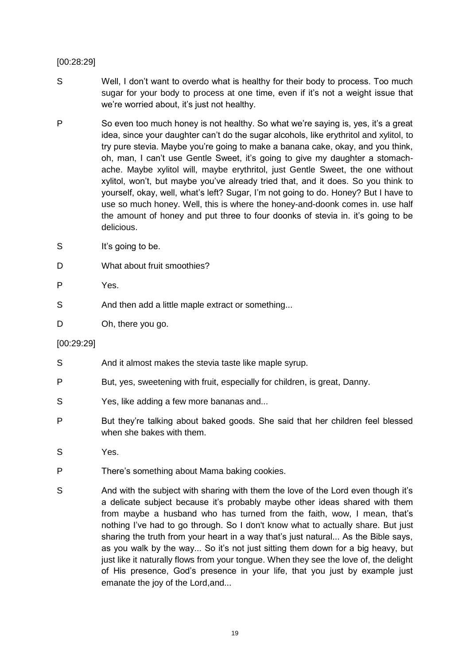### [00:28:29]

- S Well, I don't want to overdo what is healthy for their body to process. Too much sugar for your body to process at one time, even if it's not a weight issue that we're worried about, it's just not healthy.
- P So even too much honey is not healthy. So what we're saying is, yes, it's a great idea, since your daughter can't do the sugar alcohols, like erythritol and xylitol, to try pure stevia. Maybe you're going to make a banana cake, okay, and you think, oh, man, I can't use Gentle Sweet, it's going to give my daughter a stomachache. Maybe xylitol will, maybe erythritol, just Gentle Sweet, the one without xylitol, won't, but maybe you've already tried that, and it does. So you think to yourself, okay, well, what's left? Sugar, I'm not going to do. Honey? But I have to use so much honey. Well, this is where the honey-and-doonk comes in. use half the amount of honey and put three to four doonks of stevia in. it's going to be delicious.
- S It's going to be.
- D What about fruit smoothies?
- P Yes.
- S And then add a little maple extract or something...
- D Oh, there you go.
- [00:29:29]
- S And it almost makes the stevia taste like maple syrup.
- P But, yes, sweetening with fruit, especially for children, is great, Danny.
- S Yes, like adding a few more bananas and...
- P But they're talking about baked goods. She said that her children feel blessed when she bakes with them.
- S Yes.
- P There's something about Mama baking cookies.
- S And with the subject with sharing with them the love of the Lord even though it's a delicate subject because it's probably maybe other ideas shared with them from maybe a husband who has turned from the faith, wow, I mean, that's nothing I've had to go through. So I don't know what to actually share. But just sharing the truth from your heart in a way that's just natural... As the Bible says, as you walk by the way... So it's not just sitting them down for a big heavy, but just like it naturally flows from your tongue. When they see the love of, the delight of His presence, God's presence in your life, that you just by example just emanate the joy of the Lord,and...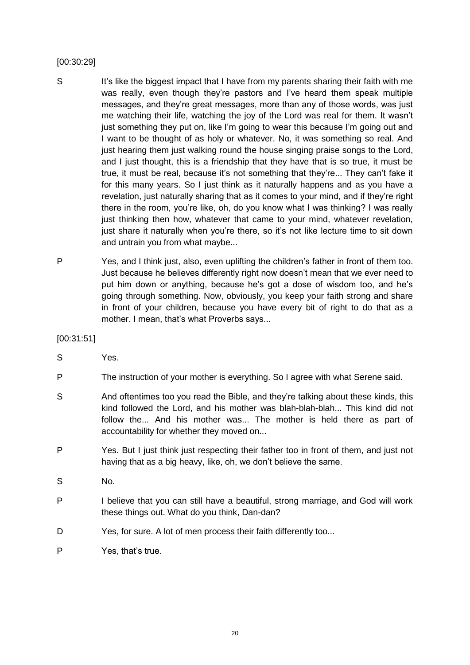### [00:30:29]

- S It's like the biggest impact that I have from my parents sharing their faith with me was really, even though they're pastors and I've heard them speak multiple messages, and they're great messages, more than any of those words, was just me watching their life, watching the joy of the Lord was real for them. It wasn't just something they put on, like I'm going to wear this because I'm going out and I want to be thought of as holy or whatever. No, it was something so real. And just hearing them just walking round the house singing praise songs to the Lord, and I just thought, this is a friendship that they have that is so true, it must be true, it must be real, because it's not something that they're... They can't fake it for this many years. So I just think as it naturally happens and as you have a revelation, just naturally sharing that as it comes to your mind, and if they're right there in the room, you're like, oh, do you know what I was thinking? I was really just thinking then how, whatever that came to your mind, whatever revelation, just share it naturally when you're there, so it's not like lecture time to sit down and untrain you from what maybe...
- P Yes, and I think just, also, even uplifting the children's father in front of them too. Just because he believes differently right now doesn't mean that we ever need to put him down or anything, because he's got a dose of wisdom too, and he's going through something. Now, obviously, you keep your faith strong and share in front of your children, because you have every bit of right to do that as a mother. I mean, that's what Proverbs says...

[00:31:51]

- S Yes.
- P The instruction of your mother is everything. So I agree with what Serene said.
- S And oftentimes too you read the Bible, and they're talking about these kinds, this kind followed the Lord, and his mother was blah-blah-blah... This kind did not follow the... And his mother was... The mother is held there as part of accountability for whether they moved on...
- P Yes. But I just think just respecting their father too in front of them, and just not having that as a big heavy, like, oh, we don't believe the same.
- S No.
- P I believe that you can still have a beautiful, strong marriage, and God will work these things out. What do you think, Dan-dan?
- D Yes, for sure. A lot of men process their faith differently too...
- P Yes, that's true.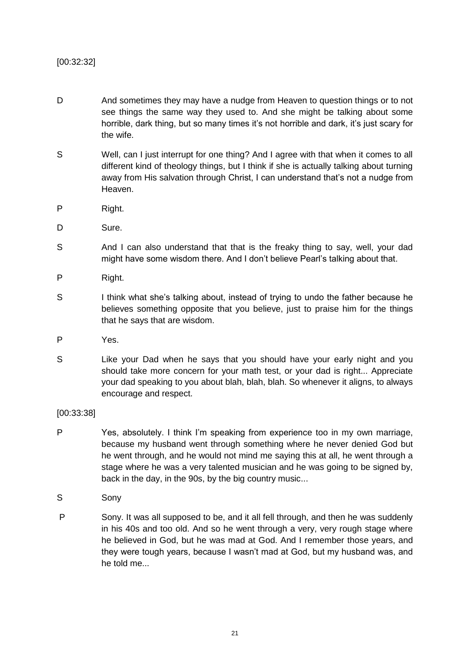### [00:32:32]

- D And sometimes they may have a nudge from Heaven to question things or to not see things the same way they used to. And she might be talking about some horrible, dark thing, but so many times it's not horrible and dark, it's just scary for the wife.
- S Well, can I just interrupt for one thing? And I agree with that when it comes to all different kind of theology things, but I think if she is actually talking about turning away from His salvation through Christ, I can understand that's not a nudge from Heaven.
- P Right.
- D Sure.
- S And I can also understand that that is the freaky thing to say, well, your dad might have some wisdom there. And I don't believe Pearl's talking about that.
- P Right.
- S I think what she's talking about, instead of trying to undo the father because he believes something opposite that you believe, just to praise him for the things that he says that are wisdom.
- P Yes.
- S Like your Dad when he says that you should have your early night and you should take more concern for your math test, or your dad is right... Appreciate your dad speaking to you about blah, blah, blah. So whenever it aligns, to always encourage and respect.

### [00:33:38]

- P Yes, absolutely. I think I'm speaking from experience too in my own marriage, because my husband went through something where he never denied God but he went through, and he would not mind me saying this at all, he went through a stage where he was a very talented musician and he was going to be signed by, back in the day, in the 90s, by the big country music...
- S Sony
- P Sony. It was all supposed to be, and it all fell through, and then he was suddenly in his 40s and too old. And so he went through a very, very rough stage where he believed in God, but he was mad at God. And I remember those years, and they were tough years, because I wasn't mad at God, but my husband was, and he told me...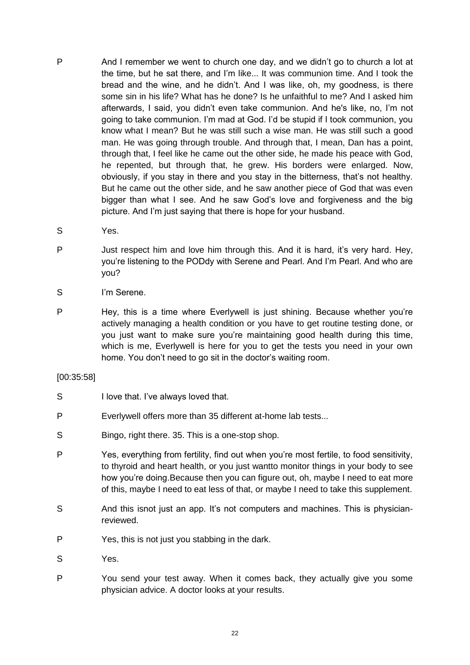- P And I remember we went to church one day, and we didn't go to church a lot at the time, but he sat there, and I'm like... It was communion time. And I took the bread and the wine, and he didn't. And I was like, oh, my goodness, is there some sin in his life? What has he done? Is he unfaithful to me? And I asked him afterwards, I said, you didn't even take communion. And he's like, no, I'm not going to take communion. I'm mad at God. I'd be stupid if I took communion, you know what I mean? But he was still such a wise man. He was still such a good man. He was going through trouble. And through that, I mean, Dan has a point, through that, I feel like he came out the other side, he made his peace with God, he repented, but through that, he grew. His borders were enlarged. Now, obviously, if you stay in there and you stay in the bitterness, that's not healthy. But he came out the other side, and he saw another piece of God that was even bigger than what I see. And he saw God's love and forgiveness and the big picture. And I'm just saying that there is hope for your husband.
- S Yes.
- P Just respect him and love him through this. And it is hard, it's very hard. Hey, you're listening to the PODdy with Serene and Pearl. And I'm Pearl. And who are you?
- S I'm Serene.
- P Hey, this is a time where Everlywell is just shining. Because whether you're actively managing a health condition or you have to get routine testing done, or you just want to make sure you're maintaining good health during this time, which is me, Everlywell is here for you to get the tests you need in your own home. You don't need to go sit in the doctor's waiting room.

### [00:35:58]

- S I love that. I've always loved that.
- P Everlywell offers more than 35 different at-home lab tests...
- S Bingo, right there. 35. This is a one-stop shop.
- P Yes, everything from fertility, find out when you're most fertile, to food sensitivity, to thyroid and heart health, or you just wantto monitor things in your body to see how you're doing.Because then you can figure out, oh, maybe I need to eat more of this, maybe I need to eat less of that, or maybe I need to take this supplement.
- S And this isnot just an app. It's not computers and machines. This is physicianreviewed.
- P Yes, this is not just you stabbing in the dark.
- S Yes.
- P You send your test away. When it comes back, they actually give you some physician advice. A doctor looks at your results.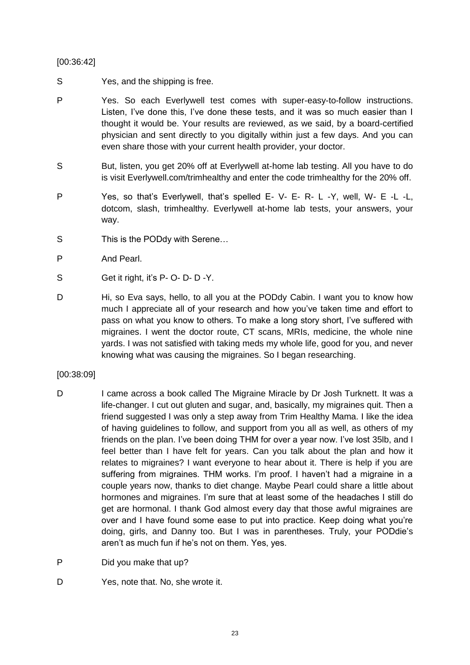### [00:36:42]

- S Yes, and the shipping is free.
- P Yes. So each Everlywell test comes with super-easy-to-follow instructions. Listen, I've done this, I've done these tests, and it was so much easier than I thought it would be. Your results are reviewed, as we said, by a board-certified physician and sent directly to you digitally within just a few days. And you can even share those with your current health provider, your doctor.
- S But, listen, you get 20% off at Everlywell at-home lab testing. All you have to do is visit Everlywell.com/trimhealthy and enter the code trimhealthy for the 20% off.
- P Yes, so that's Everlywell, that's spelled E- V- E- R- L -Y, well, W- E -L -L, dotcom, slash, trimhealthy. Everlywell at-home lab tests, your answers, your way.
- S This is the PODdy with Serene...
- P And Pearl.
- S Get it right, it's P- O- D- D-Y.
- D Hi, so Eva says, hello, to all you at the PODdy Cabin. I want you to know how much I appreciate all of your research and how you've taken time and effort to pass on what you know to others. To make a long story short, I've suffered with migraines. I went the doctor route, CT scans, MRIs, medicine, the whole nine yards. I was not satisfied with taking meds my whole life, good for you, and never knowing what was causing the migraines. So I began researching.

### [00:38:09]

- D I came across a book called The Migraine Miracle by Dr Josh Turknett. It was a life-changer. I cut out gluten and sugar, and, basically, my migraines quit. Then a friend suggested I was only a step away from Trim Healthy Mama. I like the idea of having guidelines to follow, and support from you all as well, as others of my friends on the plan. I've been doing THM for over a year now. I've lost 35lb, and I feel better than I have felt for years. Can you talk about the plan and how it relates to migraines? I want everyone to hear about it. There is help if you are suffering from migraines. THM works. I'm proof. I haven't had a migraine in a couple years now, thanks to diet change. Maybe Pearl could share a little about hormones and migraines. I'm sure that at least some of the headaches I still do get are hormonal. I thank God almost every day that those awful migraines are over and I have found some ease to put into practice. Keep doing what you're doing, girls, and Danny too. But I was in parentheses. Truly, your PODdie's aren't as much fun if he's not on them. Yes, yes.
- P Did you make that up?
- D Yes, note that. No, she wrote it.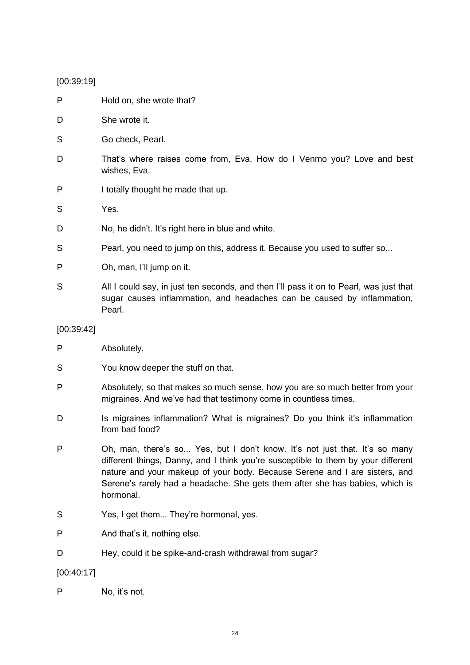## [00:39:19]

| P          | Hold on, she wrote that?                                                                                                                                                                                                                                                                                                                    |
|------------|---------------------------------------------------------------------------------------------------------------------------------------------------------------------------------------------------------------------------------------------------------------------------------------------------------------------------------------------|
| D          | She wrote it.                                                                                                                                                                                                                                                                                                                               |
| S          | Go check, Pearl.                                                                                                                                                                                                                                                                                                                            |
| D          | That's where raises come from, Eva. How do I Venmo you? Love and best<br>wishes, Eva.                                                                                                                                                                                                                                                       |
| P          | I totally thought he made that up.                                                                                                                                                                                                                                                                                                          |
| S          | Yes.                                                                                                                                                                                                                                                                                                                                        |
| D          | No, he didn't. It's right here in blue and white.                                                                                                                                                                                                                                                                                           |
| S          | Pearl, you need to jump on this, address it. Because you used to suffer so                                                                                                                                                                                                                                                                  |
| P          | Oh, man, I'll jump on it.                                                                                                                                                                                                                                                                                                                   |
| S          | All I could say, in just ten seconds, and then I'll pass it on to Pearl, was just that<br>sugar causes inflammation, and headaches can be caused by inflammation,<br>Pearl.                                                                                                                                                                 |
| [00:39:42] |                                                                                                                                                                                                                                                                                                                                             |
| P          | Absolutely.                                                                                                                                                                                                                                                                                                                                 |
| S          | You know deeper the stuff on that.                                                                                                                                                                                                                                                                                                          |
| P          | Absolutely, so that makes so much sense, how you are so much better from your<br>migraines. And we've had that testimony come in countless times.                                                                                                                                                                                           |
| D          | Is migraines inflammation? What is migraines? Do you think it's inflammation<br>from bad food?                                                                                                                                                                                                                                              |
| P          | Oh, man, there's so Yes, but I don't know. It's not just that. It's so many<br>different things, Danny, and I think you're susceptible to them by your different<br>nature and your makeup of your body. Because Serene and I are sisters, and<br>Serene's rarely had a headache. She gets them after she has babies, which is<br>hormonal. |
| S          | Yes, I get them They're hormonal, yes.                                                                                                                                                                                                                                                                                                      |
| P          | And that's it, nothing else.                                                                                                                                                                                                                                                                                                                |
| D          | Hey, could it be spike-and-crash withdrawal from sugar?                                                                                                                                                                                                                                                                                     |
| [00:40:17] |                                                                                                                                                                                                                                                                                                                                             |
| P          | No, it's not.                                                                                                                                                                                                                                                                                                                               |

24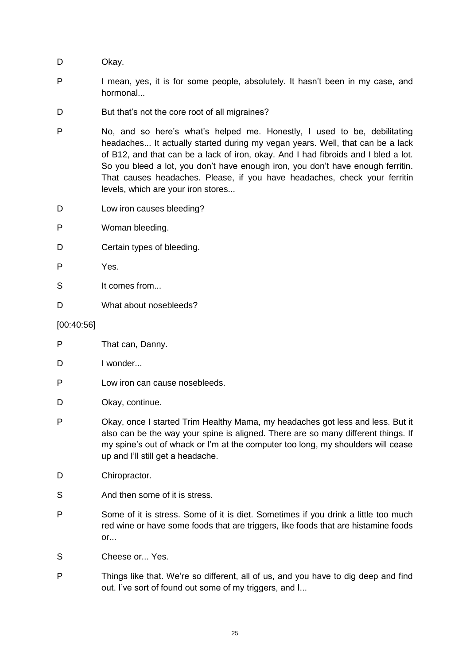D Okay.

- P I mean, yes, it is for some people, absolutely. It hasn't been in my case, and hormonal...
- D But that's not the core root of all migraines?
- P No, and so here's what's helped me. Honestly, I used to be, debilitating headaches... It actually started during my vegan years. Well, that can be a lack of B12, and that can be a lack of iron, okay. And I had fibroids and I bled a lot. So you bleed a lot, you don't have enough iron, you don't have enough ferritin. That causes headaches. Please, if you have headaches, check your ferritin levels, which are your iron stores...
- D Low iron causes bleeding?
- P Woman bleeding.
- D Certain types of bleeding.
- P Yes.
- S It comes from...
- D What about nosebleeds?

#### [00:40:56]

- P That can, Danny.
- D I wonder...
- P Low iron can cause nosebleeds.
- D Okay, continue.
- P Okay, once I started Trim Healthy Mama, my headaches got less and less. But it also can be the way your spine is aligned. There are so many different things. If my spine's out of whack or I'm at the computer too long, my shoulders will cease up and I'll still get a headache.
- D Chiropractor.
- S And then some of it is stress.
- P Some of it is stress. Some of it is diet. Sometimes if you drink a little too much red wine or have some foods that are triggers, like foods that are histamine foods  $or...$
- S Cheese or... Yes.
- P Things like that. We're so different, all of us, and you have to dig deep and find out. I've sort of found out some of my triggers, and I...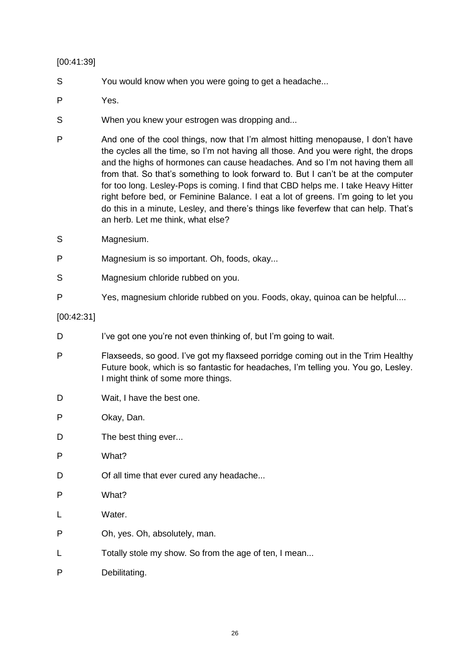### [00:41:39]

- S You would know when you were going to get a headache...
- P Yes.
- S When you knew your estrogen was dropping and...
- P And one of the cool things, now that I'm almost hitting menopause, I don't have the cycles all the time, so I'm not having all those. And you were right, the drops and the highs of hormones can cause headaches. And so I'm not having them all from that. So that's something to look forward to. But I can't be at the computer for too long. Lesley-Pops is coming. I find that CBD helps me. I take Heavy Hitter right before bed, or Feminine Balance. I eat a lot of greens. I'm going to let you do this in a minute, Lesley, and there's things like feverfew that can help. That's an herb. Let me think, what else?
- S Magnesium.
- P Magnesium is so important. Oh, foods, okay...
- S Magnesium chloride rubbed on you.
- P Yes, magnesium chloride rubbed on you. Foods, okay, quinoa can be helpful....

[00:42:31]

- D I've got one you're not even thinking of, but I'm going to wait.
- P Flaxseeds, so good. I've got my flaxseed porridge coming out in the Trim Healthy Future book, which is so fantastic for headaches, I'm telling you. You go, Lesley. I might think of some more things.
- D Wait, I have the best one.
- P Okay, Dan.
- D The best thing ever...
- P What?
- D Of all time that ever cured any headache...
- P What?
- L Water.
- P Oh, yes. Oh, absolutely, man.
- L Totally stole my show. So from the age of ten, I mean...
- P Debilitating.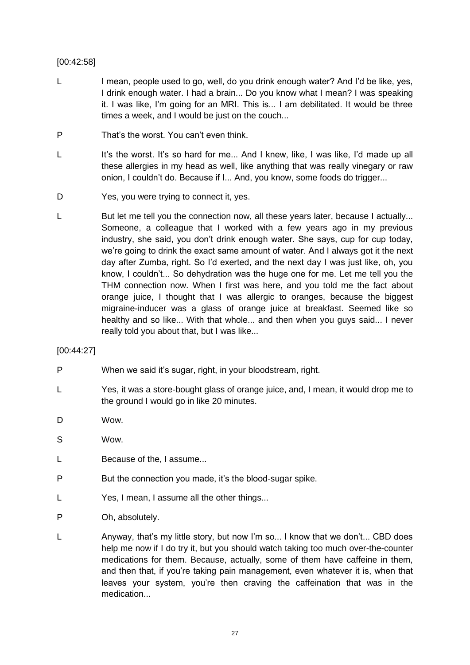### [00:42:58]

- L I mean, people used to go, well, do you drink enough water? And I'd be like, yes, I drink enough water. I had a brain... Do you know what I mean? I was speaking it. I was like, I'm going for an MRI. This is... I am debilitated. It would be three times a week, and I would be just on the couch...
- P That's the worst. You can't even think.
- L It's the worst. It's so hard for me... And I knew, like, I was like, I'd made up all these allergies in my head as well, like anything that was really vinegary or raw onion, I couldn't do. Because if I... And, you know, some foods do trigger...
- D Yes, you were trying to connect it, yes.
- L But let me tell you the connection now, all these years later, because I actually... Someone, a colleague that I worked with a few years ago in my previous industry, she said, you don't drink enough water. She says, cup for cup today, we're going to drink the exact same amount of water. And I always got it the next day after Zumba, right. So I'd exerted, and the next day I was just like, oh, you know, I couldn't... So dehydration was the huge one for me. Let me tell you the THM connection now. When I first was here, and you told me the fact about orange juice, I thought that I was allergic to oranges, because the biggest migraine-inducer was a glass of orange juice at breakfast. Seemed like so healthy and so like... With that whole... and then when you guys said... I never really told you about that, but I was like...

### [00:44:27]

- P When we said it's sugar, right, in your bloodstream, right.
- L Yes, it was a store-bought glass of orange juice, and, I mean, it would drop me to the ground I would go in like 20 minutes.
- D Wow.
- S Wow.
- L Because of the, I assume...
- P But the connection you made, it's the blood-sugar spike.
- L Yes, I mean, I assume all the other things...
- P Oh, absolutely.
- L Anyway, that's my little story, but now I'm so... I know that we don't... CBD does help me now if I do try it, but you should watch taking too much over-the-counter medications for them. Because, actually, some of them have caffeine in them, and then that, if you're taking pain management, even whatever it is, when that leaves your system, you're then craving the caffeination that was in the medication...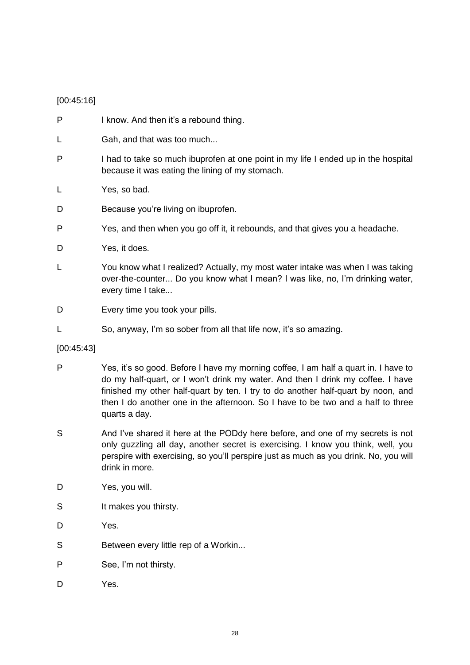### [00:45:16]

- P I know. And then it's a rebound thing.
- L Gah, and that was too much...
- P I had to take so much ibuprofen at one point in my life I ended up in the hospital because it was eating the lining of my stomach.
- L Yes, so bad.
- D Because you're living on ibuprofen.
- P Yes, and then when you go off it, it rebounds, and that gives you a headache.
- D Yes, it does.
- L You know what I realized? Actually, my most water intake was when I was taking over-the-counter... Do you know what I mean? I was like, no, I'm drinking water, every time I take...
- D Every time you took your pills.
- L So, anyway, I'm so sober from all that life now, it's so amazing.

### [00:45:43]

- P Yes, it's so good. Before I have my morning coffee, I am half a quart in. I have to do my half-quart, or I won't drink my water. And then I drink my coffee. I have finished my other half-quart by ten. I try to do another half-quart by noon, and then I do another one in the afternoon. So I have to be two and a half to three quarts a day.
- S And I've shared it here at the PODdy here before, and one of my secrets is not only guzzling all day, another secret is exercising. I know you think, well, you perspire with exercising, so you'll perspire just as much as you drink. No, you will drink in more.
- D Yes, you will.
- S It makes you thirsty.
- D Yes.
- S Between every little rep of a Workin...
- P See, I'm not thirsty.
- D Yes.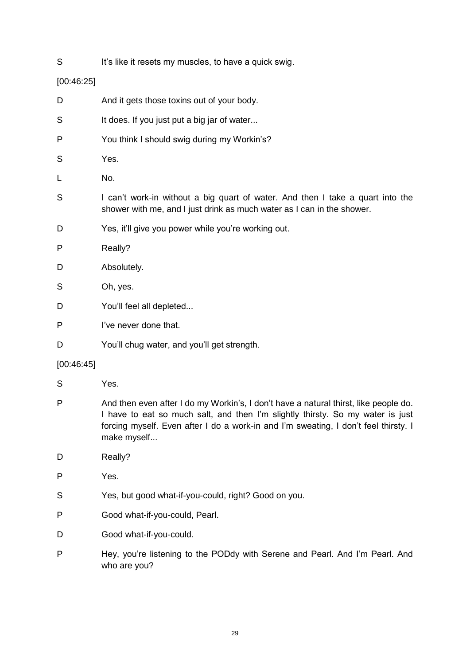S It's like it resets my muscles, to have a quick swig.

### [00:46:25]

- D And it gets those toxins out of your body. S It does. If you just put a big jar of water... P You think I should swig during my Workin's? S Yes. L No. S I can't work-in without a big quart of water. And then I take a quart into the shower with me, and I just drink as much water as I can in the shower. D Yes, it'll give you power while you're working out. P Really? D Absolutely. S Oh, yes. D You'll feel all depleted...
- P I've never done that.
- D You'll chug water, and you'll get strength.

### [00:46:45]

- S Yes.
- P And then even after I do my Workin's, I don't have a natural thirst, like people do. I have to eat so much salt, and then I'm slightly thirsty. So my water is just forcing myself. Even after I do a work-in and I'm sweating, I don't feel thirsty. I make myself...
- D Really?
- P Yes.
- S Yes, but good what-if-you-could, right? Good on you.
- P Good what-if-you-could, Pearl.
- D Good what-if-you-could.
- P Hey, you're listening to the PODdy with Serene and Pearl. And I'm Pearl. And who are you?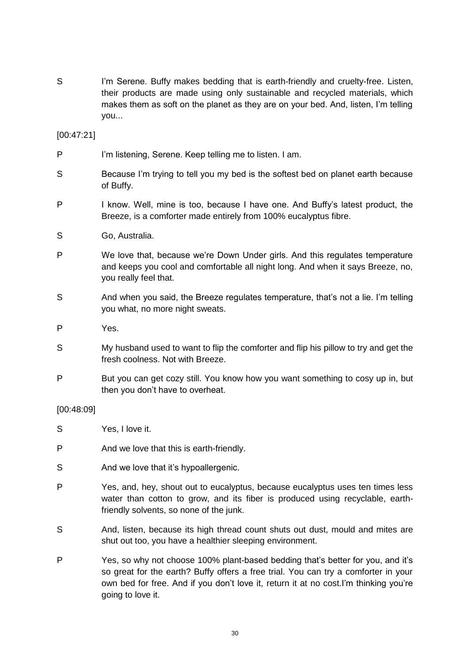S I'm Serene. Buffy makes bedding that is earth-friendly and cruelty-free. Listen, their products are made using only sustainable and recycled materials, which makes them as soft on the planet as they are on your bed. And, listen, I'm telling you...

[00:47:21]

- P I'm listening, Serene. Keep telling me to listen. I am.
- S Because I'm trying to tell you my bed is the softest bed on planet earth because of Buffy.
- P I know. Well, mine is too, because I have one. And Buffy's latest product, the Breeze, is a comforter made entirely from 100% eucalyptus fibre.
- S Go, Australia.
- P We love that, because we're Down Under girls. And this regulates temperature and keeps you cool and comfortable all night long. And when it says Breeze, no, you really feel that.
- S And when you said, the Breeze regulates temperature, that's not a lie. I'm telling you what, no more night sweats.
- P Yes.
- S My husband used to want to flip the comforter and flip his pillow to try and get the fresh coolness. Not with Breeze.
- P But you can get cozy still. You know how you want something to cosy up in, but then you don't have to overheat.

### [00:48:09]

- S Yes, I love it.
- P And we love that this is earth-friendly.
- S And we love that it's hypoallergenic.
- P Yes, and, hey, shout out to eucalyptus, because eucalyptus uses ten times less water than cotton to grow, and its fiber is produced using recyclable, earthfriendly solvents, so none of the junk.
- S And, listen, because its high thread count shuts out dust, mould and mites are shut out too, you have a healthier sleeping environment.
- P Yes, so why not choose 100% plant-based bedding that's better for you, and it's so great for the earth? Buffy offers a free trial. You can try a comforter in your own bed for free. And if you don't love it, return it at no cost.I'm thinking you're going to love it.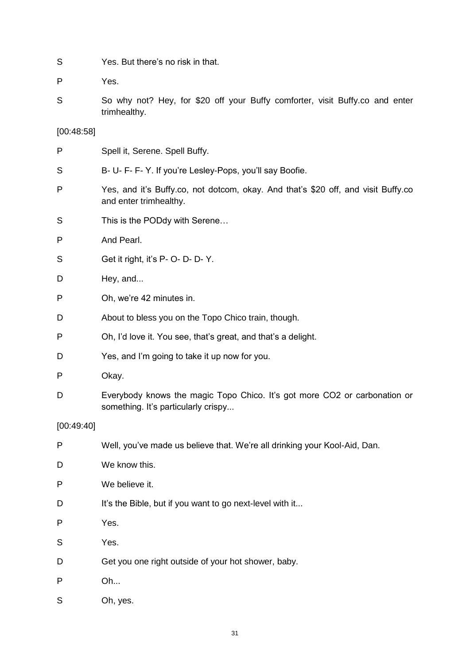| S | Yes. But there's no risk in that. |  |
|---|-----------------------------------|--|
|   |                                   |  |

P Yes.

S So why not? Hey, for \$20 off your Buffy comforter, visit Buffy.co and enter trimhealthy.

[00:48:58]

| P          | Spell it, Serene. Spell Buffy.                                                                                   |
|------------|------------------------------------------------------------------------------------------------------------------|
| S          | B- U- F- F- Y. If you're Lesley-Pops, you'll say Boofie.                                                         |
| P          | Yes, and it's Buffy.co, not dotcom, okay. And that's \$20 off, and visit Buffy.co<br>and enter trimhealthy.      |
| S          | This is the PODdy with Serene                                                                                    |
| P          | And Pearl.                                                                                                       |
| S          | Get it right, it's P- O- D- D- Y.                                                                                |
| D          | Hey, and                                                                                                         |
| P          | Oh, we're 42 minutes in.                                                                                         |
| D          | About to bless you on the Topo Chico train, though.                                                              |
| P          | Oh, I'd love it. You see, that's great, and that's a delight.                                                    |
| D          | Yes, and I'm going to take it up now for you.                                                                    |
| P          | Okay.                                                                                                            |
| D          | Everybody knows the magic Topo Chico. It's got more CO2 or carbonation or<br>something. It's particularly crispy |
| [00:49:40] |                                                                                                                  |
| P          | Well, you've made us believe that. We're all drinking your Kool-Aid, Dan.                                        |
| D          | We know this.                                                                                                    |
| P          | We believe it.                                                                                                   |
| D          | It's the Bible, but if you want to go next-level with it                                                         |
| P          | Yes.                                                                                                             |
| S          | Yes.                                                                                                             |
| D          | Get you one right outside of your hot shower, baby.                                                              |
| P          | Oh                                                                                                               |
| S          | Oh, yes.                                                                                                         |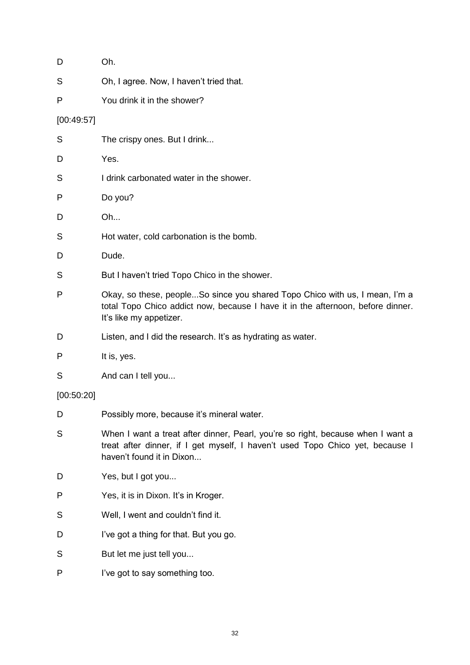| D          | Oh.                                                                                                                                                                                           |
|------------|-----------------------------------------------------------------------------------------------------------------------------------------------------------------------------------------------|
| S          | Oh, I agree. Now, I haven't tried that.                                                                                                                                                       |
| P          | You drink it in the shower?                                                                                                                                                                   |
| [00:49:57] |                                                                                                                                                                                               |
| S          | The crispy ones. But I drink                                                                                                                                                                  |
| D          | Yes.                                                                                                                                                                                          |
| S          | I drink carbonated water in the shower.                                                                                                                                                       |
| Ρ          | Do you?                                                                                                                                                                                       |
| D          | Oh                                                                                                                                                                                            |
| S          | Hot water, cold carbonation is the bomb.                                                                                                                                                      |
| D          | Dude.                                                                                                                                                                                         |
| S          | But I haven't tried Topo Chico in the shower.                                                                                                                                                 |
| Ρ          | Okay, so these, peopleSo since you shared Topo Chico with us, I mean, I'm a<br>total Topo Chico addict now, because I have it in the afternoon, before dinner.<br>It's like my appetizer.     |
| D          | Listen, and I did the research. It's as hydrating as water.                                                                                                                                   |
| P          | It is, yes.                                                                                                                                                                                   |
| S          | And can I tell you                                                                                                                                                                            |
| [00:50:20] |                                                                                                                                                                                               |
| D          | Possibly more, because it's mineral water.                                                                                                                                                    |
| S          | When I want a treat after dinner, Pearl, you're so right, because when I want a<br>treat after dinner, if I get myself, I haven't used Topo Chico yet, because I<br>haven't found it in Dixon |
| D          | Yes, but I got you                                                                                                                                                                            |
| Ρ          | Yes, it is in Dixon. It's in Kroger.                                                                                                                                                          |
| S          | Well, I went and couldn't find it.                                                                                                                                                            |
| D          | I've got a thing for that. But you go.                                                                                                                                                        |
| S          | But let me just tell you                                                                                                                                                                      |
| Ρ          | I've got to say something too.                                                                                                                                                                |
|            |                                                                                                                                                                                               |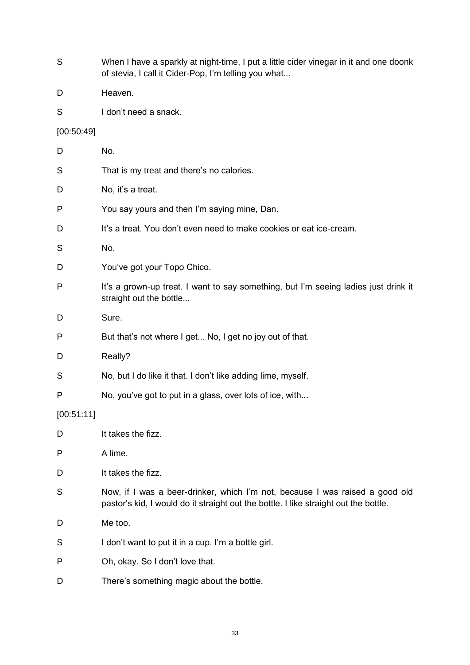- S When I have a sparkly at night-time, I put a little cider vinegar in it and one doonk of stevia, I call it Cider-Pop, I'm telling you what...
- D Heaven.
- S I don't need a snack.

### [00:50:49]

| D          | No.                                                                                                                                                                  |
|------------|----------------------------------------------------------------------------------------------------------------------------------------------------------------------|
| S          | That is my treat and there's no calories.                                                                                                                            |
| D          | No, it's a treat.                                                                                                                                                    |
| P          | You say yours and then I'm saying mine, Dan.                                                                                                                         |
| D          | It's a treat. You don't even need to make cookies or eat ice-cream.                                                                                                  |
| S          | No.                                                                                                                                                                  |
| D          | You've got your Topo Chico.                                                                                                                                          |
| P          | It's a grown-up treat. I want to say something, but I'm seeing ladies just drink it<br>straight out the bottle                                                       |
| D          | Sure.                                                                                                                                                                |
| P          | But that's not where I get No, I get no joy out of that.                                                                                                             |
| D          | Really?                                                                                                                                                              |
| S          | No, but I do like it that. I don't like adding lime, myself.                                                                                                         |
| P          | No, you've got to put in a glass, over lots of ice, with                                                                                                             |
| [00:51:11] |                                                                                                                                                                      |
| D          | It takes the fizz.                                                                                                                                                   |
| P          | A lime.                                                                                                                                                              |
| D          | It takes the fizz.                                                                                                                                                   |
| S          | Now, if I was a beer-drinker, which I'm not, because I was raised a good old<br>pastor's kid, I would do it straight out the bottle. I like straight out the bottle. |
| D          | Me too.                                                                                                                                                              |
| S          | I don't want to put it in a cup. I'm a bottle girl.                                                                                                                  |
| P          | Oh, okay. So I don't love that.                                                                                                                                      |
| D          | There's something magic about the bottle.                                                                                                                            |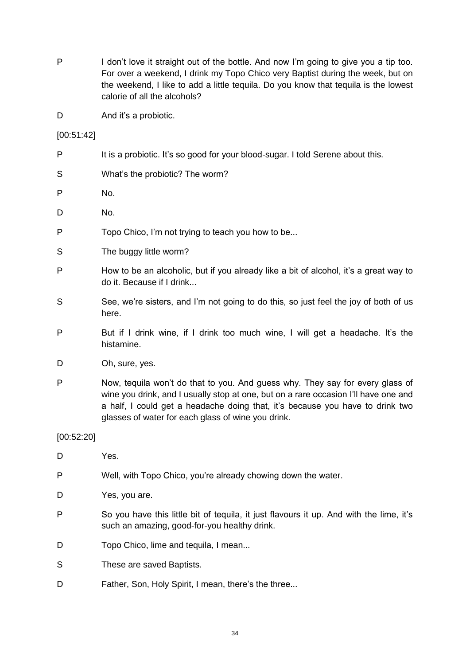P I don't love it straight out of the bottle. And now I'm going to give you a tip too. For over a weekend, I drink my Topo Chico very Baptist during the week, but on the weekend, I like to add a little tequila. Do you know that tequila is the lowest calorie of all the alcohols?

D And it's a probiotic.

[00:51:42]

- P It is a probiotic. It's so good for your blood-sugar. I told Serene about this. S What's the probiotic? The worm? P No.
- D No.
- P Topo Chico, I'm not trying to teach you how to be...
- S The buggy little worm?
- P How to be an alcoholic, but if you already like a bit of alcohol, it's a great way to do it. Because if I drink...
- S See, we're sisters, and I'm not going to do this, so just feel the joy of both of us here.
- P But if I drink wine, if I drink too much wine, I will get a headache. It's the histamine.
- D Oh, sure, yes.
- P Now, tequila won't do that to you. And guess why. They say for every glass of wine you drink, and I usually stop at one, but on a rare occasion I'll have one and a half, I could get a headache doing that, it's because you have to drink two glasses of water for each glass of wine you drink.

[00:52:20]

- D Yes.
- P Well, with Topo Chico, you're already chowing down the water.
- D Yes, you are.
- P So you have this little bit of tequila, it just flavours it up. And with the lime, it's such an amazing, good-for-you healthy drink.
- D Topo Chico, lime and tequila, I mean...
- S These are saved Baptists.
- D Father, Son, Holy Spirit, I mean, there's the three...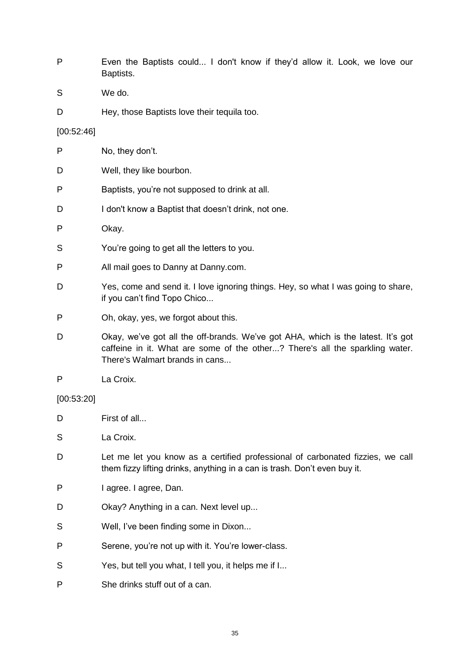- P Even the Baptists could... I don't know if they'd allow it. Look, we love our Baptists.
- S We do.
- D Hey, those Baptists love their tequila too.

### [00:52:46]

- P No, they don't. D Well, they like bourbon. P Baptists, you're not supposed to drink at all. D I don't know a Baptist that doesn't drink, not one. P Okay. S You're going to get all the letters to you. P All mail goes to Danny at Danny.com. D Yes, come and send it. I love ignoring things. Hey, so what I was going to share, if you can't find Topo Chico... P Oh, okay, yes, we forgot about this. D Okay, we've got all the off-brands. We've got AHA, which is the latest. It's got caffeine in it. What are some of the other...? There's all the sparkling water. There's Walmart brands in cans... P La Croix. [00:53:20] D First of all... S La Croix. D Let me let you know as a certified professional of carbonated fizzies, we call them fizzy lifting drinks, anything in a can is trash. Don't even buy it. P I agree. I agree, Dan.
- D Okay? Anything in a can. Next level up...
- S Well, I've been finding some in Dixon...
- P Serene, you're not up with it. You're lower-class.
- S Yes, but tell you what, I tell you, it helps me if I...
- P She drinks stuff out of a can.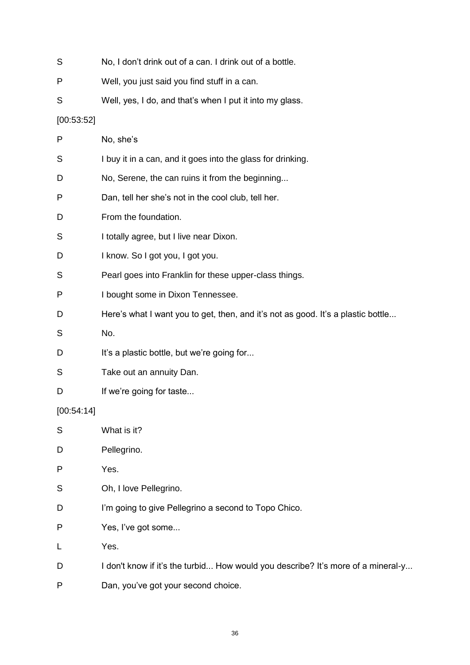| S          | No, I don't drink out of a can. I drink out of a bottle.                         |
|------------|----------------------------------------------------------------------------------|
| P          | Well, you just said you find stuff in a can.                                     |
| S          | Well, yes, I do, and that's when I put it into my glass.                         |
| [00:53:52] |                                                                                  |
| P          | No, she's                                                                        |
| S          | I buy it in a can, and it goes into the glass for drinking.                      |
| D          | No, Serene, the can ruins it from the beginning                                  |
| P          | Dan, tell her she's not in the cool club, tell her.                              |
| D          | From the foundation.                                                             |
| S          | I totally agree, but I live near Dixon.                                          |
| D          | I know. So I got you, I got you.                                                 |
| S          | Pearl goes into Franklin for these upper-class things.                           |
| P          | I bought some in Dixon Tennessee.                                                |
| D          | Here's what I want you to get, then, and it's not as good. It's a plastic bottle |
| S          | No.                                                                              |
| D          | It's a plastic bottle, but we're going for                                       |
| S          | Take out an annuity Dan.                                                         |
| D          | If we're going for taste                                                         |
| [00:54:14] |                                                                                  |
| S          | What is it?                                                                      |
| D          | Pellegrino.                                                                      |
| P          | Yes.                                                                             |
| S          | Oh, I love Pellegrino.                                                           |
| D          | I'm going to give Pellegrino a second to Topo Chico.                             |
| P          | Yes, I've got some                                                               |
| L          | Yes.                                                                             |
| D          | I don't know if it's the turbid How would you describe? It's more of a mineral-y |
| P          | Dan, you've got your second choice.                                              |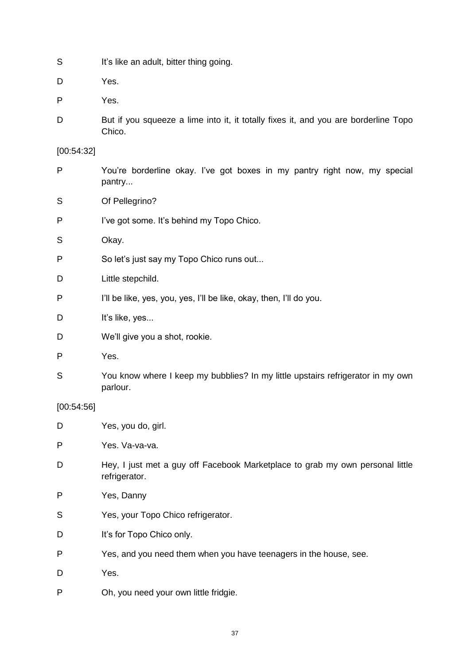- S It's like an adult, bitter thing going.
- D Yes.
- P Yes.
- D But if you squeeze a lime into it, it totally fixes it, and you are borderline Topo Chico.

[00:54:32]

- P You're borderline okay. I've got boxes in my pantry right now, my special pantry...
- S Of Pellegrino?
- P I've got some. It's behind my Topo Chico.
- S Okay.
- P So let's just say my Topo Chico runs out...
- D Little stepchild.
- P I'll be like, yes, you, yes, I'll be like, okay, then, I'll do you.
- D It's like, ves...
- D We'll give you a shot, rookie.
- P Yes.
- S You know where I keep my bubblies? In my little upstairs refrigerator in my own parlour.

[00:54:56]

- D Yes, you do, girl.
- P Yes. Va-va-va.
- D Hey, I just met a guy off Facebook Marketplace to grab my own personal little refrigerator.
- P Yes, Danny
- S Yes, your Topo Chico refrigerator.
- D It's for Topo Chico only.
- P Yes, and you need them when you have teenagers in the house, see.
- D Yes.
- P Oh, you need your own little fridgie.